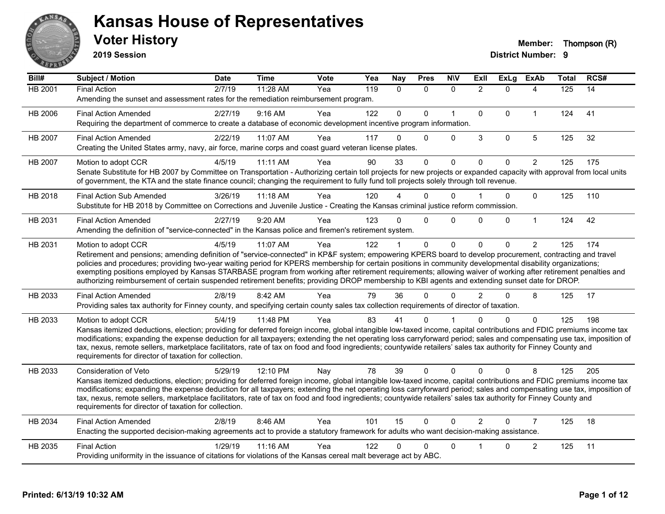

**2019 Session**

| Bill#          | Subject / Motion                                                                                                                                                                                                                                                                                                                                                                                                                                                                                                                                                                                                                                                   | <b>Date</b> | <b>Time</b> | Vote | Yea | <b>Nay</b>   | <b>Pres</b>  | <b>N\V</b>   | <b>Exll</b>    | <b>ExLg</b> | <b>ExAb</b>    | <b>Total</b> | RCS# |
|----------------|--------------------------------------------------------------------------------------------------------------------------------------------------------------------------------------------------------------------------------------------------------------------------------------------------------------------------------------------------------------------------------------------------------------------------------------------------------------------------------------------------------------------------------------------------------------------------------------------------------------------------------------------------------------------|-------------|-------------|------|-----|--------------|--------------|--------------|----------------|-------------|----------------|--------------|------|
| <b>HB 2001</b> | <b>Final Action</b><br>Amending the sunset and assessment rates for the remediation reimbursement program.                                                                                                                                                                                                                                                                                                                                                                                                                                                                                                                                                         | 2/7/19      | 11:28 AM    | Yea  | 119 | $\mathbf{0}$ | $\Omega$     | $\Omega$     | $\overline{2}$ | $\Omega$    | 4              | 125          | 14   |
| HB 2006        | <b>Final Action Amended</b><br>Requiring the department of commerce to create a database of economic development incentive program information.                                                                                                                                                                                                                                                                                                                                                                                                                                                                                                                    | 2/27/19     | 9:16 AM     | Yea  | 122 | $\mathbf{0}$ | $\Omega$     | $\mathbf{1}$ | $\mathbf 0$    | $\Omega$    | $\mathbf{1}$   | 124          | 41   |
| HB 2007        | <b>Final Action Amended</b><br>Creating the United States army, navy, air force, marine corps and coast guard veteran license plates.                                                                                                                                                                                                                                                                                                                                                                                                                                                                                                                              | 2/22/19     | 11:07 AM    | Yea  | 117 | $\Omega$     | 0            | 0            | 3              | 0           | $\overline{5}$ | 125          | 32   |
| HB 2007        | Motion to adopt CCR<br>Senate Substitute for HB 2007 by Committee on Transportation - Authorizing certain toll projects for new projects or expanded capacity with approval from local units<br>of government, the KTA and the state finance council; changing the requirement to fully fund toll projects solely through toll revenue.                                                                                                                                                                                                                                                                                                                            | 4/5/19      | 11:11 AM    | Yea  | 90  | 33           | $\Omega$     | $\Omega$     | $\mathbf{0}$   | $\Omega$    | $\overline{2}$ | 125          | 175  |
| HB 2018        | <b>Final Action Sub Amended</b><br>Substitute for HB 2018 by Committee on Corrections and Juvenile Justice - Creating the Kansas criminal justice reform commission.                                                                                                                                                                                                                                                                                                                                                                                                                                                                                               | 3/26/19     | $11:18$ AM  | Yea  | 120 |              | $\Omega$     | $\Omega$     |                | $\Omega$    | $\Omega$       | 125          | 110  |
| HB 2031        | <b>Final Action Amended</b><br>Amending the definition of "service-connected" in the Kansas police and firemen's retirement system.                                                                                                                                                                                                                                                                                                                                                                                                                                                                                                                                | 2/27/19     | 9:20 AM     | Yea  | 123 | $\Omega$     | $\mathbf{0}$ | $\Omega$     | $\Omega$       | $\Omega$    | $\mathbf{1}$   | 124          | 42   |
| HB 2031        | Motion to adopt CCR<br>Retirement and pensions; amending definition of "service-connected" in KP&F system; empowering KPERS board to develop procurement, contracting and travel<br>policies and procedures; providing two-year waiting period for KPERS membership for certain positions in community developmental disability organizations;<br>exempting positions employed by Kansas STARBASE program from working after retirement requirements; allowing waiver of working after retirement penalties and<br>authorizing reimbursement of certain suspended retirement benefits; providing DROP membership to KBI agents and extending sunset date for DROP. | 4/5/19      | 11:07 AM    | Yea  | 122 |              | $\mathbf 0$  | $\Omega$     | $\Omega$       | $\Omega$    | $\overline{2}$ | 125          | 174  |
| HB 2033        | <b>Final Action Amended</b><br>Providing sales tax authority for Finney county, and specifying certain county sales tax collection requirements of director of taxation.                                                                                                                                                                                                                                                                                                                                                                                                                                                                                           | 2/8/19      | 8:42 AM     | Yea  | 79  | 36           | $\Omega$     | $\Omega$     | $\mathcal{P}$  | 0           | 8              | 125          | 17   |
| HB 2033        | Motion to adopt CCR<br>Kansas itemized deductions, election; providing for deferred foreign income, global intangible low-taxed income, capital contributions and FDIC premiums income tax<br>modifications; expanding the expense deduction for all taxpayers; extending the net operating loss carryforward period; sales and compensating use tax, imposition of<br>tax, nexus, remote sellers, marketplace facilitators, rate of tax on food and food ingredients; countywide retailers' sales tax authority for Finney County and<br>requirements for director of taxation for collection.                                                                    | 5/4/19      | 11:48 PM    | Yea  | 83  | 41           | 0            |              | n              | $\Omega$    | $\Omega$       | 125          | 198  |
| HB 2033        | Consideration of Veto<br>Kansas itemized deductions, election; providing for deferred foreign income, global intangible low-taxed income, capital contributions and FDIC premiums income tax<br>modifications; expanding the expense deduction for all taxpayers; extending the net operating loss carryforward period; sales and compensating use tax, imposition of<br>tax, nexus, remote sellers, marketplace facilitators, rate of tax on food and food ingredients; countywide retailers' sales tax authority for Finney County and<br>requirements for director of taxation for collection.                                                                  | 5/29/19     | 12:10 PM    | Nay  | 78  | 39           | $\mathbf{0}$ | $\Omega$     | $\Omega$       | $\Omega$    | 8              | 125          | 205  |
| HB 2034        | <b>Final Action Amended</b><br>Enacting the supported decision-making agreements act to provide a statutory framework for adults who want decision-making assistance.                                                                                                                                                                                                                                                                                                                                                                                                                                                                                              | 2/8/19      | 8:46 AM     | Yea  | 101 | 15           | $\mathbf{0}$ | $\Omega$     | $\overline{2}$ | $\Omega$    | $\overline{7}$ | 125          | 18   |
| HB 2035        | <b>Final Action</b><br>Providing uniformity in the issuance of citations for violations of the Kansas cereal malt beverage act by ABC.                                                                                                                                                                                                                                                                                                                                                                                                                                                                                                                             | 1/29/19     | 11:16 AM    | Yea  | 122 | 0            | 0            | $\Omega$     |                | 0           | $\overline{c}$ | 125          | 11   |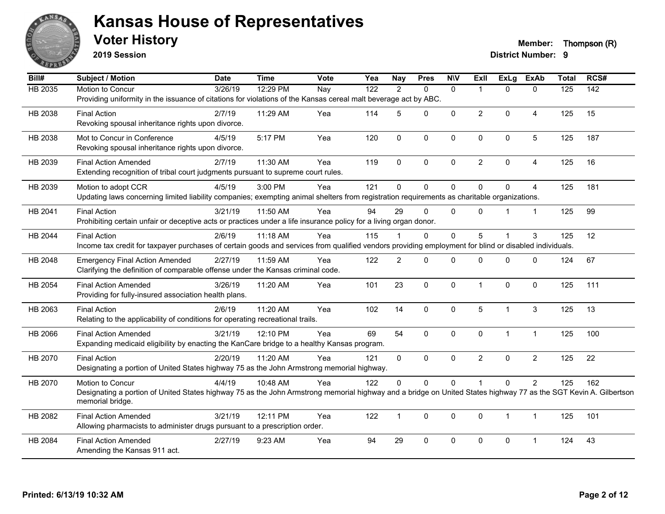

**2019 Session**

**Voter History Member: Thompson (R)** 

| Bill#          | Subject / Motion                                                                                                                                                   | <b>Date</b>      | <b>Time</b> | Vote | Yea              | <b>Nay</b>     | <b>Pres</b>  | <b>NIV</b>   | ExII           | <b>ExLg</b>  | <b>ExAb</b>    | <b>Total</b> | RCS#             |
|----------------|--------------------------------------------------------------------------------------------------------------------------------------------------------------------|------------------|-------------|------|------------------|----------------|--------------|--------------|----------------|--------------|----------------|--------------|------------------|
| <b>HB 2035</b> | Motion to Concur                                                                                                                                                   | $\sqrt{3}/26/19$ | 12:29 PM    | Nay  | $\overline{122}$ | $\overline{2}$ | $\Omega$     | $\mathbf{0}$ | 1              | $\Omega$     | $\Omega$       | 125          | $\overline{142}$ |
|                | Providing uniformity in the issuance of citations for violations of the Kansas cereal malt beverage act by ABC.                                                    |                  |             |      |                  |                |              |              |                |              |                |              |                  |
| HB 2038        | <b>Final Action</b>                                                                                                                                                | 2/7/19           | 11:29 AM    | Yea  | 114              | 5              | 0            | $\mathbf{0}$ | $\overline{2}$ | $\Omega$     | 4              | 125          | 15               |
|                | Revoking spousal inheritance rights upon divorce.                                                                                                                  |                  |             |      |                  |                |              |              |                |              |                |              |                  |
| HB 2038        | Mot to Concur in Conference                                                                                                                                        | 4/5/19           | 5:17 PM     | Yea  | 120              | $\mathbf 0$    | 0            | $\pmb{0}$    | 0              | 0            | $\overline{5}$ | 125          | 187              |
|                | Revoking spousal inheritance rights upon divorce.                                                                                                                  |                  |             |      |                  |                |              |              |                |              |                |              |                  |
| HB 2039        | <b>Final Action Amended</b>                                                                                                                                        | 2/7/19           | 11:30 AM    | Yea  | 119              | $\Omega$       | $\mathbf{0}$ | $\mathbf{0}$ | $\overline{2}$ | $\Omega$     | $\overline{4}$ | 125          | 16               |
|                | Extending recognition of tribal court judgments pursuant to supreme court rules.                                                                                   |                  |             |      |                  |                |              |              |                |              |                |              |                  |
|                |                                                                                                                                                                    |                  | 3:00 PM     |      | 121              | $\Omega$       | $\mathbf 0$  | $\mathbf 0$  | $\mathbf{0}$   | $\mathbf 0$  |                |              |                  |
| HB 2039        | Motion to adopt CCR<br>Updating laws concerning limited liability companies; exempting animal shelters from registration requirements as charitable organizations. | 4/5/19           |             | Yea  |                  |                |              |              |                |              | $\overline{4}$ | 125          | 181              |
|                |                                                                                                                                                                    |                  |             |      |                  |                |              |              |                |              |                |              |                  |
| HB 2041        | <b>Final Action</b>                                                                                                                                                | 3/21/19          | 11:50 AM    | Yea  | 94               | 29             | $\Omega$     | $\Omega$     | $\Omega$       |              | $\overline{1}$ | 125          | 99               |
|                | Prohibiting certain unfair or deceptive acts or practices under a life insurance policy for a living organ donor.                                                  |                  |             |      |                  |                |              |              |                |              |                |              |                  |
| HB 2044        | <b>Final Action</b>                                                                                                                                                | 2/6/19           | 11:18 AM    | Yea  | 115              |                | 0            | $\mathbf 0$  | 5              |              | 3              | 125          | 12               |
|                | Income tax credit for taxpayer purchases of certain goods and services from qualified vendors providing employment for blind or disabled individuals.              |                  |             |      |                  |                |              |              |                |              |                |              |                  |
| HB 2048        | <b>Emergency Final Action Amended</b>                                                                                                                              | 2/27/19          | 11:59 AM    | Yea  | 122              | $\overline{2}$ | $\Omega$     | $\Omega$     | $\Omega$       | $\Omega$     | $\Omega$       | 124          | 67               |
|                | Clarifying the definition of comparable offense under the Kansas criminal code.                                                                                    |                  |             |      |                  |                |              |              |                |              |                |              |                  |
| HB 2054        | <b>Final Action Amended</b>                                                                                                                                        | 3/26/19          | 11:20 AM    | Yea  | 101              | 23             | $\mathbf 0$  | $\mathbf 0$  | $\mathbf 1$    | $\mathbf 0$  | $\mathbf 0$    | 125          | 111              |
|                | Providing for fully-insured association health plans.                                                                                                              |                  |             |      |                  |                |              |              |                |              |                |              |                  |
| HB 2063        | <b>Final Action</b>                                                                                                                                                | 2/6/19           | 11:20 AM    | Yea  | 102              | 14             | 0            | $\mathbf 0$  | 5              | 1            | 3              | 125          | 13               |
|                | Relating to the applicability of conditions for operating recreational trails.                                                                                     |                  |             |      |                  |                |              |              |                |              |                |              |                  |
|                |                                                                                                                                                                    |                  |             |      | 69               | 54             |              |              | $\Omega$       |              | $\mathbf{1}$   |              |                  |
| HB 2066        | <b>Final Action Amended</b><br>Expanding medicaid eligibility by enacting the KanCare bridge to a healthy Kansas program.                                          | 3/21/19          | 12:10 PM    | Yea  |                  |                | $\Omega$     | $\mathbf{0}$ |                | $\mathbf{1}$ |                | 125          | 100              |
|                |                                                                                                                                                                    |                  |             |      |                  |                |              |              |                |              |                |              |                  |
| HB 2070        | <b>Final Action</b>                                                                                                                                                | 2/20/19          | 11:20 AM    | Yea  | 121              | 0              | $\mathbf{0}$ | $\mathbf{0}$ | $\overline{2}$ | $\Omega$     | $\overline{2}$ | 125          | 22               |
|                | Designating a portion of United States highway 75 as the John Armstrong memorial highway.                                                                          |                  |             |      |                  |                |              |              |                |              |                |              |                  |
| HB 2070        | Motion to Concur                                                                                                                                                   | 4/4/19           | 10:48 AM    | Yea  | 122              | 0              | 0            | $\mathbf 0$  |                | $\Omega$     | $\overline{2}$ | 125          | 162              |
|                | Designating a portion of United States highway 75 as the John Armstrong memorial highway and a bridge on United States highway 77 as the SGT Kevin A. Gilbertson   |                  |             |      |                  |                |              |              |                |              |                |              |                  |
|                | memorial bridge.                                                                                                                                                   |                  |             |      |                  |                |              |              |                |              |                |              |                  |
| HB 2082        | <b>Final Action Amended</b>                                                                                                                                        | 3/21/19          | 12:11 PM    | Yea  | 122              | $\mathbf 1$    | $\Omega$     | $\mathbf{0}$ | $\Omega$       | 1            | $\mathbf{1}$   | 125          | 101              |
|                | Allowing pharmacists to administer drugs pursuant to a prescription order.                                                                                         |                  |             |      |                  |                |              |              |                |              |                |              |                  |
| HB 2084        | <b>Final Action Amended</b>                                                                                                                                        | 2/27/19          | 9:23 AM     | Yea  | 94               | 29             | 0            | $\mathbf 0$  | 0              | 0            | 1              | 124          | 43               |
|                | Amending the Kansas 911 act.                                                                                                                                       |                  |             |      |                  |                |              |              |                |              |                |              |                  |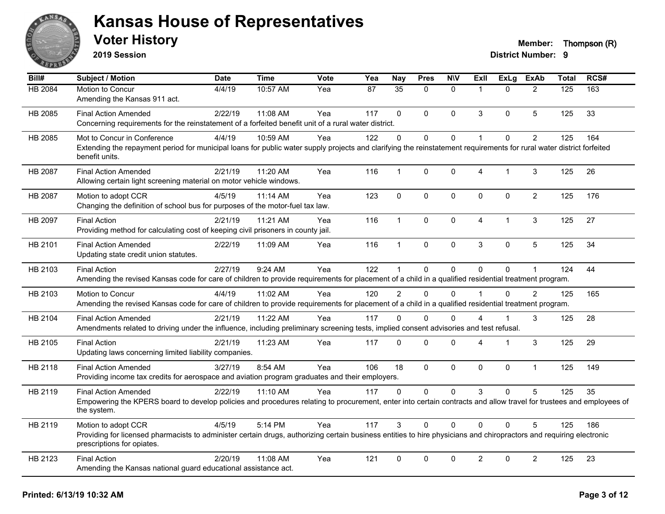

**2019 Session**

| $\overline{BiII#}$ | Subject / Motion                                                                                                                                                                                  | <b>Date</b> | <b>Time</b> | Vote | Yea | <b>Nay</b>      | <b>Pres</b>  | <b>N\V</b>   | ExII           | <b>ExLg</b>  | <b>ExAb</b>    | <b>Total</b> | RCS# |
|--------------------|---------------------------------------------------------------------------------------------------------------------------------------------------------------------------------------------------|-------------|-------------|------|-----|-----------------|--------------|--------------|----------------|--------------|----------------|--------------|------|
| HB 2084            | Motion to Concur                                                                                                                                                                                  | 4/4/19      | 10:57 AM    | Yea  | 87  | $\overline{35}$ | $\Omega$     | $\mathbf{0}$ | $\mathbf 1$    | $\Omega$     | 2              | 125          | 163  |
|                    | Amending the Kansas 911 act.                                                                                                                                                                      |             |             |      |     |                 |              |              |                |              |                |              |      |
| HB 2085            | <b>Final Action Amended</b>                                                                                                                                                                       | 2/22/19     | 11:08 AM    | Yea  | 117 | $\mathbf{0}$    | $\mathbf{0}$ | $\mathbf{0}$ | 3              | $\Omega$     | 5              | 125          | 33   |
|                    | Concerning requirements for the reinstatement of a forfeited benefit unit of a rural water district.                                                                                              |             |             |      |     |                 |              |              |                |              |                |              |      |
| HB 2085            | Mot to Concur in Conference                                                                                                                                                                       | 4/4/19      | 10:59 AM    | Yea  | 122 | 0               | $\mathbf 0$  | $\pmb{0}$    | 1              | $\mathbf 0$  | $\overline{c}$ | 125          | 164  |
|                    | Extending the repayment period for municipal loans for public water supply projects and clarifying the reinstatement requirements for rural water district forfeited<br>benefit units.            |             |             |      |     |                 |              |              |                |              |                |              |      |
| HB 2087            | <b>Final Action Amended</b>                                                                                                                                                                       | 2/21/19     | 11:20 AM    | Yea  | 116 | 1               | $\mathbf 0$  | $\mathbf 0$  | $\overline{4}$ | $\mathbf{1}$ | 3              | 125          | 26   |
|                    | Allowing certain light screening material on motor vehicle windows.                                                                                                                               |             |             |      |     |                 |              |              |                |              |                |              |      |
| HB 2087            | Motion to adopt CCR                                                                                                                                                                               | 4/5/19      | 11:14 AM    | Yea  | 123 | $\mathbf 0$     | $\mathbf 0$  | $\mathbf 0$  | $\Omega$       | $\mathbf{0}$ | $\overline{2}$ | 125          | 176  |
|                    | Changing the definition of school bus for purposes of the motor-fuel tax law.                                                                                                                     |             |             |      |     |                 |              |              |                |              |                |              |      |
| HB 2097            | <b>Final Action</b>                                                                                                                                                                               | 2/21/19     | 11:21 AM    | Yea  | 116 | $\mathbf 1$     | $\Omega$     | $\mathbf 0$  | 4              | $\mathbf{1}$ | 3              | 125          | 27   |
|                    | Providing method for calculating cost of keeping civil prisoners in county jail.                                                                                                                  |             |             |      |     |                 |              |              |                |              |                |              |      |
| HB 2101            | <b>Final Action Amended</b>                                                                                                                                                                       | 2/22/19     | 11:09 AM    | Yea  | 116 | 1               | 0            | $\mathbf 0$  | 3              | 0            | 5              | 125          | 34   |
|                    | Updating state credit union statutes.                                                                                                                                                             |             |             |      |     |                 |              |              |                |              |                |              |      |
| HB 2103            | <b>Final Action</b>                                                                                                                                                                               | 2/27/19     | 9:24 AM     | Yea  | 122 | $\mathbf{1}$    | $\pmb{0}$    | $\mathbf 0$  | $\Omega$       | 0            |                | 124          | 44   |
|                    | Amending the revised Kansas code for care of children to provide requirements for placement of a child in a qualified residential treatment program.                                              |             |             |      |     |                 |              |              |                |              |                |              |      |
| HB 2103            | Motion to Concur                                                                                                                                                                                  | 4/4/19      | 11:02 AM    | Yea  | 120 | $\overline{2}$  | $\Omega$     | $\Omega$     |                | $\Omega$     | 2              | 125          | 165  |
|                    | Amending the revised Kansas code for care of children to provide requirements for placement of a child in a qualified residential treatment program.                                              |             |             |      |     |                 |              |              |                |              |                |              |      |
| HB 2104            | <b>Final Action Amended</b>                                                                                                                                                                       | 2/21/19     | 11:22 AM    | Yea  | 117 | 0               | $\Omega$     | $\mathbf{0}$ | 4              | $\mathbf 1$  | 3              | 125          | 28   |
|                    | Amendments related to driving under the influence, including preliminary screening tests, implied consent advisories and test refusal.                                                            |             |             |      |     |                 |              |              |                |              |                |              |      |
| HB 2105            | <b>Final Action</b>                                                                                                                                                                               | 2/21/19     | 11:23 AM    | Yea  | 117 | 0               | $\mathbf 0$  | $\mathbf 0$  | 4              | -1           | $\mathbf{3}$   | 125          | 29   |
|                    | Updating laws concerning limited liability companies.                                                                                                                                             |             |             |      |     |                 |              |              |                |              |                |              |      |
| HB 2118            | <b>Final Action Amended</b>                                                                                                                                                                       | 3/27/19     | 8:54 AM     | Yea  | 106 | 18              | $\mathbf{0}$ | $\mathbf{0}$ | $\Omega$       | $\mathbf{0}$ | $\mathbf{1}$   | 125          | 149  |
|                    | Providing income tax credits for aerospace and aviation program graduates and their employers.                                                                                                    |             |             |      |     |                 |              |              |                |              |                |              |      |
| HB 2119            | <b>Final Action Amended</b>                                                                                                                                                                       | 2/22/19     | 11:10 AM    | Yea  | 117 | 0               | $\mathbf 0$  | $\mathbf{0}$ | 3              | $\Omega$     | 5              | 125          | 35   |
|                    | Empowering the KPERS board to develop policies and procedures relating to procurement, enter into certain contracts and allow travel for trustees and employees of<br>the system.                 |             |             |      |     |                 |              |              |                |              |                |              |      |
| HB 2119            | Motion to adopt CCR                                                                                                                                                                               | 4/5/19      | 5:14 PM     | Yea  | 117 | 3               | $\mathbf{0}$ | $\mathbf{0}$ | $\Omega$       | $\Omega$     | 5              | 125          | 186  |
|                    | Providing for licensed pharmacists to administer certain drugs, authorizing certain business entities to hire physicians and chiropractors and requiring electronic<br>prescriptions for opiates. |             |             |      |     |                 |              |              |                |              |                |              |      |
| HB 2123            | <b>Final Action</b>                                                                                                                                                                               | 2/20/19     | 11:08 AM    | Yea  | 121 | 0               | $\mathbf 0$  | $\mathbf 0$  | $\overline{a}$ | $\mathbf 0$  | $\overline{2}$ | 125          | 23   |
|                    | Amending the Kansas national guard educational assistance act.                                                                                                                                    |             |             |      |     |                 |              |              |                |              |                |              |      |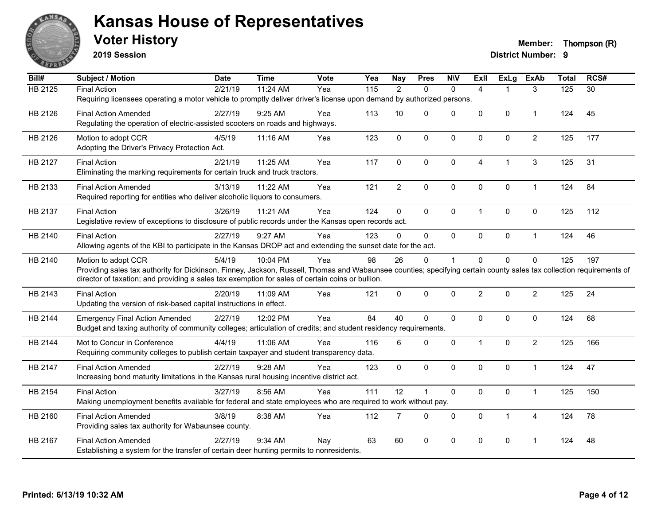

**2019 Session**

**Voter History Member: Thompson (R)** 

| Bill#          | <b>Subject / Motion</b>                                                                                                                                              | <b>Date</b> | <b>Time</b> | Vote | Yea | <b>Nay</b>     | <b>Pres</b>    | <b>N\V</b>   | ExII           | <b>ExLg</b>    | <b>ExAb</b>    | <b>Total</b> | RCS# |
|----------------|----------------------------------------------------------------------------------------------------------------------------------------------------------------------|-------------|-------------|------|-----|----------------|----------------|--------------|----------------|----------------|----------------|--------------|------|
| <b>HB 2125</b> | <b>Final Action</b>                                                                                                                                                  | 2/21/19     | 11:24 AM    | Yea  | 115 | $\overline{2}$ | $\Omega$       | $\mathbf{0}$ | $\overline{4}$ |                | 3              | 125          | 30   |
|                | Requiring licensees operating a motor vehicle to promptly deliver driver's license upon demand by authorized persons.                                                |             |             |      |     |                |                |              |                |                |                |              |      |
| HB 2126        | <b>Final Action Amended</b>                                                                                                                                          | 2/27/19     | $9:25$ AM   | Yea  | 113 | 10             | $\Omega$       | $\Omega$     | $\overline{0}$ | $\mathbf{0}$   | $\mathbf{1}$   | 124          | 45   |
|                | Regulating the operation of electric-assisted scooters on roads and highways.                                                                                        |             |             |      |     |                |                |              |                |                |                |              |      |
| HB 2126        | Motion to adopt CCR                                                                                                                                                  | 4/5/19      | 11:16 AM    | Yea  | 123 | $\mathbf 0$    | $\mathbf 0$    | 0            | $\mathbf{0}$   | $\mathbf 0$    | $\overline{c}$ | 125          | 177  |
|                | Adopting the Driver's Privacy Protection Act.                                                                                                                        |             |             |      |     |                |                |              |                |                |                |              |      |
| HB 2127        | <b>Final Action</b>                                                                                                                                                  | 2/21/19     | 11:25 AM    | Yea  | 117 | $\Omega$       | $\mathbf 0$    | $\pmb{0}$    | $\overline{4}$ | $\overline{1}$ | $\mathbf{3}$   | 125          | 31   |
|                | Eliminating the marking requirements for certain truck and truck tractors.                                                                                           |             |             |      |     |                |                |              |                |                |                |              |      |
| HB 2133        | <b>Final Action Amended</b>                                                                                                                                          | 3/13/19     | 11:22 AM    | Yea  | 121 | $\overline{2}$ | $\mathbf 0$    | $\mathbf 0$  | 0              | $\mathbf 0$    | $\mathbf{1}$   | 124          | 84   |
|                | Required reporting for entities who deliver alcoholic liquors to consumers.                                                                                          |             |             |      |     |                |                |              |                |                |                |              |      |
| HB 2137        | <b>Final Action</b>                                                                                                                                                  | 3/26/19     | 11:21 AM    | Yea  | 124 | $\overline{0}$ | $\Omega$       | $\mathbf 0$  | $\mathbf 1$    | $\Omega$       | $\mathbf{0}$   | 125          | 112  |
|                | Legislative review of exceptions to disclosure of public records under the Kansas open records act.                                                                  |             |             |      |     |                |                |              |                |                |                |              |      |
| HB 2140        | <b>Final Action</b>                                                                                                                                                  | 2/27/19     | 9:27 AM     | Yea  | 123 | $\Omega$       | $\mathbf 0$    | $\mathbf{0}$ | $\mathbf 0$    | $\mathbf 0$    | $\mathbf{1}$   | 124          | 46   |
|                | Allowing agents of the KBI to participate in the Kansas DROP act and extending the sunset date for the act.                                                          |             |             |      |     |                |                |              |                |                |                |              |      |
| HB 2140        | Motion to adopt CCR                                                                                                                                                  | 5/4/19      | 10:04 PM    | Yea  | 98  | 26             | $\Omega$       | 1            | $\Omega$       | $\Omega$       | $\Omega$       | 125          | 197  |
|                | Providing sales tax authority for Dickinson, Finney, Jackson, Russell, Thomas and Wabaunsee counties; specifying certain county sales tax collection requirements of |             |             |      |     |                |                |              |                |                |                |              |      |
|                | director of taxation; and providing a sales tax exemption for sales of certain coins or bullion.                                                                     |             |             |      |     |                |                |              |                |                |                |              |      |
| HB 2143        | <b>Final Action</b>                                                                                                                                                  | 2/20/19     | 11:09 AM    | Yea  | 121 | $\mathbf 0$    | $\pmb{0}$      | $\mathbf 0$  | $\overline{2}$ | $\mathbf 0$    | $\overline{2}$ | 125          | 24   |
|                | Updating the version of risk-based capital instructions in effect.                                                                                                   |             |             |      |     |                |                |              |                |                |                |              |      |
| HB 2144        | <b>Emergency Final Action Amended</b>                                                                                                                                | 2/27/19     | 12:02 PM    | Yea  | 84  | 40             | $\Omega$       | $\mathbf{0}$ | $\mathbf{0}$   | $\mathbf 0$    | $\mathbf{0}$   | 124          | 68   |
|                | Budget and taxing authority of community colleges; articulation of credits; and student residency requirements.                                                      |             |             |      |     |                |                |              |                |                |                |              |      |
| HB 2144        | Mot to Concur in Conference                                                                                                                                          | 4/4/19      | 11:06 AM    | Yea  | 116 | 6              | $\Omega$       | $\mathbf 0$  | $\mathbf 1$    | $\mathbf 0$    | $\overline{2}$ | 125          | 166  |
|                | Requiring community colleges to publish certain taxpayer and student transparency data.                                                                              |             |             |      |     |                |                |              |                |                |                |              |      |
| HB 2147        | <b>Final Action Amended</b>                                                                                                                                          | 2/27/19     | 9:28 AM     | Yea  | 123 | 0              | $\mathbf 0$    | $\mathbf 0$  | $\Omega$       | $\mathbf 0$    | $\overline{1}$ | 124          | 47   |
|                | Increasing bond maturity limitations in the Kansas rural housing incentive district act.                                                                             |             |             |      |     |                |                |              |                |                |                |              |      |
| HB 2154        | <b>Final Action</b>                                                                                                                                                  | 3/27/19     | 8:56 AM     | Yea  | 111 | 12             | $\overline{1}$ | $\mathbf 0$  | $\Omega$       | $\mathbf 0$    | $\mathbf{1}$   | 125          | 150  |
|                | Making unemployment benefits available for federal and state employees who are required to work without pay.                                                         |             |             |      |     |                |                |              |                |                |                |              |      |
| HB 2160        | <b>Final Action Amended</b>                                                                                                                                          | 3/8/19      | 8:38 AM     | Yea  | 112 | $\overline{7}$ | $\mathbf 0$    | $\mathbf 0$  | $\mathbf 0$    | $\mathbf{1}$   | $\overline{4}$ | 124          | 78   |
|                | Providing sales tax authority for Wabaunsee county.                                                                                                                  |             |             |      |     |                |                |              |                |                |                |              |      |
| HB 2167        | <b>Final Action Amended</b>                                                                                                                                          | 2/27/19     | 9:34 AM     | Nay  | 63  | 60             | $\Omega$       | $\Omega$     | $\Omega$       | $\pmb{0}$      | 1              | 124          | 48   |
|                | Establishing a system for the transfer of certain deer hunting permits to nonresidents.                                                                              |             |             |      |     |                |                |              |                |                |                |              |      |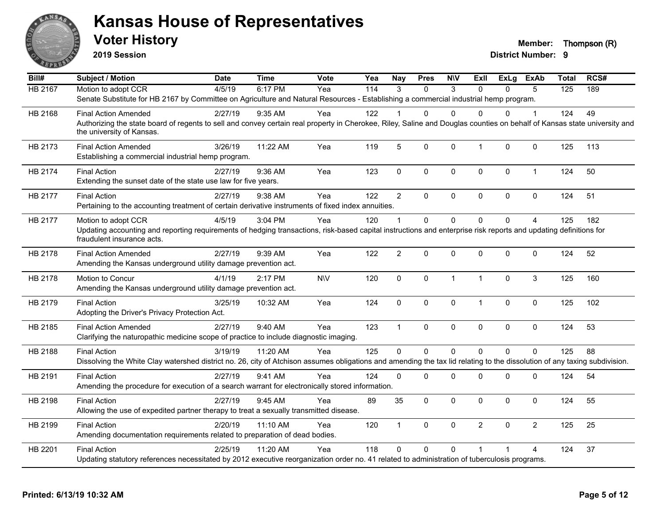

**2019 Session**

| Bill#          | <b>Subject / Motion</b>                                                                                                                                                                                               | <b>Date</b> | <b>Time</b> | <b>Vote</b> | Yea | <b>Nay</b>     | <b>Pres</b>    | <b>NIV</b>   | ExII           | <b>ExLg</b> | <b>ExAb</b>    | <b>Total</b>   | RCS# |
|----------------|-----------------------------------------------------------------------------------------------------------------------------------------------------------------------------------------------------------------------|-------------|-------------|-------------|-----|----------------|----------------|--------------|----------------|-------------|----------------|----------------|------|
| <b>HB 2167</b> | Motion to adopt CCR                                                                                                                                                                                                   | 4/5/19      | 6:17 PM     | Yea         | 114 | 3              | $\Omega$       | 3            | $\Omega$       | $\Omega$    | 5              | $\frac{1}{25}$ | 189  |
|                | Senate Substitute for HB 2167 by Committee on Agriculture and Natural Resources - Establishing a commercial industrial hemp program.                                                                                  |             |             |             |     |                |                |              |                |             |                |                |      |
| HB 2168        | <b>Final Action Amended</b>                                                                                                                                                                                           | 2/27/19     | $9:35$ AM   | Yea         | 122 |                | 0              | $\Omega$     | $\Omega$       | 0           | 1              | 124            | 49   |
|                | Authorizing the state board of regents to sell and convey certain real property in Cherokee, Riley, Saline and Douglas counties on behalf of Kansas state university and<br>the university of Kansas.                 |             |             |             |     |                |                |              |                |             |                |                |      |
| HB 2173        | <b>Final Action Amended</b><br>Establishing a commercial industrial hemp program.                                                                                                                                     | 3/26/19     | 11:22 AM    | Yea         | 119 | 5              | 0              | $\mathbf 0$  | $\mathbf{1}$   | 0           | $\mathbf 0$    | 125            | 113  |
| HB 2174        | <b>Final Action</b><br>Extending the sunset date of the state use law for five years.                                                                                                                                 | 2/27/19     | 9:36 AM     | Yea         | 123 | $\mathbf{0}$   | 0              | $\mathbf{0}$ | $\mathbf 0$    | 0           | $\mathbf{1}$   | 124            | 50   |
| HB 2177        | <b>Final Action</b><br>Pertaining to the accounting treatment of certain derivative instruments of fixed index annuities.                                                                                             | 2/27/19     | 9:38 AM     | Yea         | 122 | $\overline{2}$ | $\Omega$       | $\mathbf 0$  | $\mathbf{0}$   | 0           | $\mathbf 0$    | 124            | 51   |
| HB 2177        | Motion to adopt CCR<br>Updating accounting and reporting requirements of hedging transactions, risk-based capital instructions and enterprise risk reports and updating definitions for<br>fraudulent insurance acts. | 4/5/19      | 3:04 PM     | Yea         | 120 | -1             | $\Omega$       | $\Omega$     | $\Omega$       | $\Omega$    | $\overline{4}$ | 125            | 182  |
| HB 2178        | <b>Final Action Amended</b><br>Amending the Kansas underground utility damage prevention act.                                                                                                                         | 2/27/19     | 9:39 AM     | Yea         | 122 | 2              | 0              | $\Omega$     | $\mathbf 0$    | 0           | $\mathbf 0$    | 124            | 52   |
| HB 2178        | Motion to Concur<br>Amending the Kansas underground utility damage prevention act.                                                                                                                                    | 4/1/19      | 2:17 PM     | <b>NIV</b>  | 120 | $\mathbf 0$    | 0              | $\mathbf{1}$ | $\overline{1}$ | $\Omega$    | 3              | 125            | 160  |
| HB 2179        | <b>Final Action</b><br>Adopting the Driver's Privacy Protection Act.                                                                                                                                                  | 3/25/19     | 10:32 AM    | Yea         | 124 | 0              | 0              | $\mathbf 0$  | $\mathbf{1}$   | 0           | 0              | 125            | 102  |
| HB 2185        | <b>Final Action Amended</b><br>Clarifying the naturopathic medicine scope of practice to include diagnostic imaging.                                                                                                  | 2/27/19     | 9:40 AM     | Yea         | 123 | $\overline{1}$ | 0              | $\mathbf 0$  | $\mathbf 0$    | 0           | $\mathbf 0$    | 124            | 53   |
| HB 2188        | <b>Final Action</b><br>Dissolving the White Clay watershed district no. 26, city of Atchison assumes obligations and amending the tax lid relating to the dissolution of any taxing subdivision.                      | 3/19/19     | 11:20 AM    | Yea         | 125 | $\Omega$       | $\overline{0}$ | $\Omega$     | $\Omega$       | $\Omega$    | $\mathbf 0$    | 125            | 88   |
| HB 2191        | <b>Final Action</b><br>Amending the procedure for execution of a search warrant for electronically stored information.                                                                                                | 2/27/19     | 9:41 AM     | Yea         | 124 | $\mathbf 0$    | $\Omega$       | 0            | $\mathbf 0$    | 0           | $\pmb{0}$      | 124            | 54   |
| HB 2198        | <b>Final Action</b><br>Allowing the use of expedited partner therapy to treat a sexually transmitted disease.                                                                                                         | 2/27/19     | 9:45 AM     | Yea         | 89  | 35             | 0              | $\mathbf 0$  | $\mathbf 0$    | $\Omega$    | $\mathbf 0$    | 124            | 55   |
| HB 2199        | <b>Final Action</b><br>Amending documentation requirements related to preparation of dead bodies.                                                                                                                     | 2/20/19     | 11:10 AM    | Yea         | 120 | $\overline{1}$ | 0              | $\mathbf 0$  | $\overline{2}$ | $\Omega$    | $\overline{2}$ | 125            | 25   |
| HB 2201        | <b>Final Action</b><br>Updating statutory references necessitated by 2012 executive reorganization order no. 41 related to administration of tuberculosis programs.                                                   | 2/25/19     | 11:20 AM    | Yea         | 118 | $\Omega$       | 0              | $\mathbf 0$  |                |             | 4              | 124            | 37   |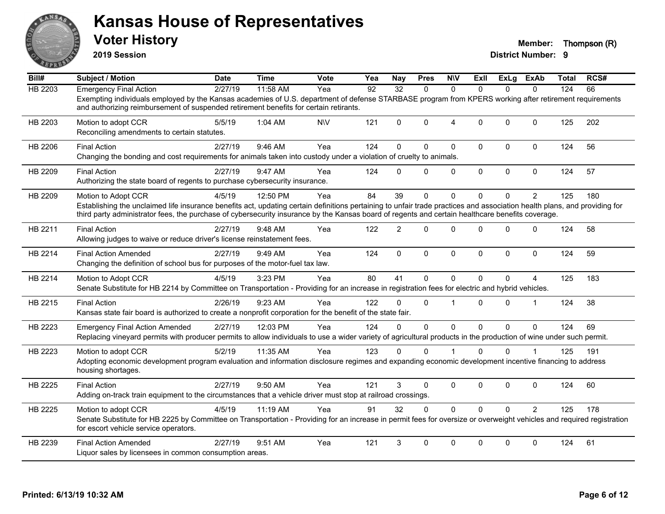

**2019 Session**

| Bill#          | <b>Subject / Motion</b>                                                                                                                                                                                                                                                                                                                              | <b>Date</b> | <b>Time</b> | <b>Vote</b> | Yea | Nav             | <b>Pres</b> | <b>NIV</b>     | ExII         | ExLg        | ExAb           | Total | RCS# |
|----------------|------------------------------------------------------------------------------------------------------------------------------------------------------------------------------------------------------------------------------------------------------------------------------------------------------------------------------------------------------|-------------|-------------|-------------|-----|-----------------|-------------|----------------|--------------|-------------|----------------|-------|------|
| <b>HB 2203</b> | <b>Emergency Final Action</b>                                                                                                                                                                                                                                                                                                                        | 2/27/19     | 11:58 AM    | Yea         | 92  | $\overline{32}$ | $\Omega$    | $\Omega$       | $\Omega$     | $\Omega$    | $\Omega$       | 124   | 66   |
|                | Exempting individuals employed by the Kansas academies of U.S. department of defense STARBASE program from KPERS working after retirement requirements<br>and authorizing reimbursement of suspended retirement benefits for certain retirants.                                                                                                      |             |             |             |     |                 |             |                |              |             |                |       |      |
| HB 2203        | Motion to adopt CCR<br>Reconciling amendments to certain statutes.                                                                                                                                                                                                                                                                                   | 5/5/19      | 1:04 AM     | <b>N\V</b>  | 121 | 0               | $\Omega$    | $\overline{4}$ | $\Omega$     | $\Omega$    | $\mathbf 0$    | 125   | 202  |
| HB 2206        | <b>Final Action</b><br>Changing the bonding and cost requirements for animals taken into custody under a violation of cruelty to animals.                                                                                                                                                                                                            | 2/27/19     | 9:46 AM     | Yea         | 124 | 0               | $\Omega$    | $\mathbf 0$    | 0            | $\mathbf 0$ | $\mathbf 0$    | 124   | 56   |
| HB 2209        | <b>Final Action</b><br>Authorizing the state board of regents to purchase cybersecurity insurance.                                                                                                                                                                                                                                                   | 2/27/19     | 9:47 AM     | Yea         | 124 | $\Omega$        | 0           | $\mathbf 0$    | $\mathbf{0}$ | 0           | $\mathbf 0$    | 124   | 57   |
| HB 2209        | Motion to Adopt CCR<br>Establishing the unclaimed life insurance benefits act, updating certain definitions pertaining to unfair trade practices and association health plans, and providing for<br>third party administrator fees, the purchase of cybersecurity insurance by the Kansas board of regents and certain healthcare benefits coverage. | 4/5/19      | 12:50 PM    | Yea         | 84  | 39              | 0           | $\Omega$       | $\Omega$     | 0           | $\overline{2}$ | 125   | 180  |
| HB 2211        | <b>Final Action</b><br>Allowing judges to waive or reduce driver's license reinstatement fees.                                                                                                                                                                                                                                                       | 2/27/19     | 9:48 AM     | Yea         | 122 | $\overline{2}$  | $\Omega$    | $\Omega$       | $\Omega$     | $\Omega$    | $\Omega$       | 124   | 58   |
| HB 2214        | <b>Final Action Amended</b><br>Changing the definition of school bus for purposes of the motor-fuel tax law.                                                                                                                                                                                                                                         | 2/27/19     | 9:49 AM     | Yea         | 124 | $\mathbf{0}$    | $\mathbf 0$ | $\mathbf 0$    | $\Omega$     | $\Omega$    | $\Omega$       | 124   | 59   |
| HB 2214        | Motion to Adopt CCR<br>Senate Substitute for HB 2214 by Committee on Transportation - Providing for an increase in registration fees for electric and hybrid vehicles.                                                                                                                                                                               | 4/5/19      | 3:23 PM     | Yea         | 80  | 41              | 0           | $\Omega$       | $\Omega$     | 0           | 4              | 125   | 183  |
| HB 2215        | <b>Final Action</b><br>Kansas state fair board is authorized to create a nonprofit corporation for the benefit of the state fair.                                                                                                                                                                                                                    | 2/26/19     | 9:23 AM     | Yea         | 122 | $\Omega$        | $\Omega$    | -1             | 0            | 0           | $\mathbf 1$    | 124   | 38   |
| HB 2223        | <b>Emergency Final Action Amended</b><br>Replacing vineyard permits with producer permits to allow individuals to use a wider variety of agricultural products in the production of wine under such permit.                                                                                                                                          | 2/27/19     | 12:03 PM    | Yea         | 124 | $\Omega$        | $\Omega$    | $\Omega$       | $\Omega$     | $\Omega$    | $\Omega$       | 124   | 69   |
| HB 2223        | Motion to adopt CCR<br>Adopting economic development program evaluation and information disclosure regimes and expanding economic development incentive financing to address<br>housing shortages.                                                                                                                                                   | 5/2/19      | 11:35 AM    | Yea         | 123 | 0               | $\Omega$    |                | $\Omega$     | 0           |                | 125   | 191  |
| HB 2225        | <b>Final Action</b><br>Adding on-track train equipment to the circumstances that a vehicle driver must stop at railroad crossings.                                                                                                                                                                                                                   | 2/27/19     | 9:50 AM     | Yea         | 121 | 3               | 0           | $\mathbf 0$    | 0            | $\mathbf 0$ | $\mathbf 0$    | 124   | 60   |
| HB 2225        | Motion to adopt CCR<br>Senate Substitute for HB 2225 by Committee on Transportation - Providing for an increase in permit fees for oversize or overweight vehicles and required registration<br>for escort vehicle service operators.                                                                                                                | 4/5/19      | 11:19 AM    | Yea         | 91  | 32              | $\Omega$    | $\Omega$       | $\Omega$     | $\Omega$    | $\mathcal{P}$  | 125   | 178  |
| HB 2239        | <b>Final Action Amended</b><br>Liquor sales by licensees in common consumption areas.                                                                                                                                                                                                                                                                | 2/27/19     | 9:51 AM     | Yea         | 121 | 3               | $\Omega$    | $\Omega$       | $\Omega$     | $\Omega$    | $\Omega$       | 124   | 61   |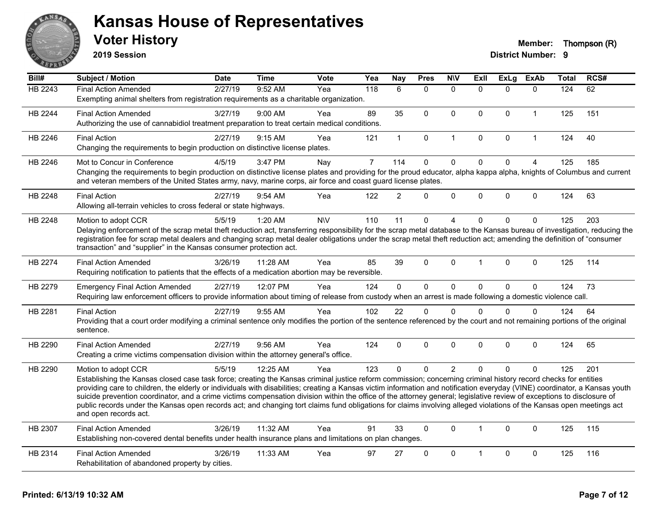

**2019 Session**

| Bill#   | Subject / Motion                                                                                                                                                                                                                                                                                                                                      | <b>Date</b> | <b>Time</b> | <b>Vote</b> | Yea            | Nay            | <b>Pres</b>  | <b>N\V</b>     | <b>Exll</b>  | <b>ExLg</b> | <b>ExAb</b>    | <b>Total</b> | RCS# |
|---------|-------------------------------------------------------------------------------------------------------------------------------------------------------------------------------------------------------------------------------------------------------------------------------------------------------------------------------------------------------|-------------|-------------|-------------|----------------|----------------|--------------|----------------|--------------|-------------|----------------|--------------|------|
| HB 2243 | <b>Final Action Amended</b>                                                                                                                                                                                                                                                                                                                           | 2/27/19     | 9:52 AM     | Yea         | 118            | 6              | $\mathbf{0}$ | $\mathbf{0}$   | $\Omega$     | $\Omega$    | $\mathbf{0}$   | 124          | 62   |
|         | Exempting animal shelters from registration requirements as a charitable organization.                                                                                                                                                                                                                                                                |             |             |             |                |                |              |                |              |             |                |              |      |
| HB 2244 | <b>Final Action Amended</b>                                                                                                                                                                                                                                                                                                                           | 3/27/19     | 9:00 AM     | Yea         | 89             | 35             | $\Omega$     | $\mathbf{0}$   | $\mathbf{0}$ | $\Omega$    | $\mathbf{1}$   | 125          | 151  |
|         | Authorizing the use of cannabidiol treatment preparation to treat certain medical conditions.                                                                                                                                                                                                                                                         |             |             |             |                |                |              |                |              |             |                |              |      |
| HB 2246 | <b>Final Action</b>                                                                                                                                                                                                                                                                                                                                   | 2/27/19     | 9:15 AM     | Yea         | 121            | $\mathbf 1$    | $\pmb{0}$    | $\mathbf{1}$   | $\mathbf 0$  | $\mathbf 0$ | $\mathbf{1}$   | 124          | 40   |
|         | Changing the requirements to begin production on distinctive license plates.                                                                                                                                                                                                                                                                          |             |             |             |                |                |              |                |              |             |                |              |      |
| HB 2246 | Mot to Concur in Conference                                                                                                                                                                                                                                                                                                                           | 4/5/19      | 3:47 PM     | Nay         | $\overline{7}$ | 114            | $\mathbf 0$  | $\mathbf 0$    | $\mathbf 0$  | $\mathbf 0$ | $\overline{4}$ | 125          | 185  |
|         | Changing the requirements to begin production on distinctive license plates and providing for the proud educator, alpha kappa alpha, knights of Columbus and current<br>and veteran members of the United States army, navy, marine corps, air force and coast guard license plates.                                                                  |             |             |             |                |                |              |                |              |             |                |              |      |
| HB 2248 | <b>Final Action</b>                                                                                                                                                                                                                                                                                                                                   | 2/27/19     | $9:54$ AM   | Yea         | 122            | $\overline{2}$ | $\Omega$     | $\mathbf 0$    | $\Omega$     | $\mathbf 0$ | $\mathbf{0}$   | 124          | 63   |
|         | Allowing all-terrain vehicles to cross federal or state highways.                                                                                                                                                                                                                                                                                     |             |             |             |                |                |              |                |              |             |                |              |      |
| HB 2248 | Motion to adopt CCR                                                                                                                                                                                                                                                                                                                                   | 5/5/19      | 1:20 AM     | <b>NV</b>   | 110            | 11             | 0            | 4              | $\Omega$     | $\Omega$    | $\mathbf 0$    | 125          | 203  |
|         | Delaying enforcement of the scrap metal theft reduction act, transferring responsibility for the scrap metal database to the Kansas bureau of investigation, reducing the                                                                                                                                                                             |             |             |             |                |                |              |                |              |             |                |              |      |
|         | registration fee for scrap metal dealers and changing scrap metal dealer obligations under the scrap metal theft reduction act; amending the definition of "consumer<br>transaction" and "supplier" in the Kansas consumer protection act.                                                                                                            |             |             |             |                |                |              |                |              |             |                |              |      |
|         |                                                                                                                                                                                                                                                                                                                                                       |             |             |             |                |                |              |                |              |             |                |              |      |
| HB 2274 | <b>Final Action Amended</b>                                                                                                                                                                                                                                                                                                                           | 3/26/19     | 11:28 AM    | Yea         | 85             | 39             | $\mathbf 0$  | $\Omega$       | 1            | $\Omega$    | $\mathbf 0$    | 125          | 114  |
|         | Requiring notification to patients that the effects of a medication abortion may be reversible.                                                                                                                                                                                                                                                       |             |             |             |                |                |              |                |              |             |                |              |      |
| HB 2279 | <b>Emergency Final Action Amended</b>                                                                                                                                                                                                                                                                                                                 | 2/27/19     | 12:07 PM    | Yea         | 124            | $\mathbf{0}$   | $\mathbf 0$  | $\mathbf 0$    | $\Omega$     | $\mathbf 0$ | $\mathbf{0}$   | 124          | 73   |
|         | Requiring law enforcement officers to provide information about timing of release from custody when an arrest is made following a domestic violence call.                                                                                                                                                                                             |             |             |             |                |                |              |                |              |             |                |              |      |
| HB 2281 | <b>Final Action</b>                                                                                                                                                                                                                                                                                                                                   | 2/27/19     | 9:55 AM     | Yea         | 102            | 22             | $\Omega$     | $\Omega$       | $\Omega$     | $\Omega$    | $\mathbf{0}$   | 124          | 64   |
|         | Providing that a court order modifying a criminal sentence only modifies the portion of the sentence referenced by the court and not remaining portions of the original                                                                                                                                                                               |             |             |             |                |                |              |                |              |             |                |              |      |
|         | sentence.                                                                                                                                                                                                                                                                                                                                             |             |             |             |                |                |              |                |              |             |                |              |      |
| HB 2290 | <b>Final Action Amended</b>                                                                                                                                                                                                                                                                                                                           | 2/27/19     | 9:56 AM     | Yea         | 124            | $\Omega$       | $\mathbf 0$  | $\Omega$       | $\Omega$     | $\Omega$    | $\mathbf{0}$   | 124          | 65   |
|         | Creating a crime victims compensation division within the attorney general's office.                                                                                                                                                                                                                                                                  |             |             |             |                |                |              |                |              |             |                |              |      |
| HB 2290 | Motion to adopt CCR                                                                                                                                                                                                                                                                                                                                   | 5/5/19      | 12:25 AM    | Yea         | 123            | $\Omega$       | $\Omega$     | $\overline{2}$ | $\Omega$     | $\Omega$    | $\Omega$       | 125          | 201  |
|         | Establishing the Kansas closed case task force; creating the Kansas criminal justice reform commission; concerning criminal history record checks for entities                                                                                                                                                                                        |             |             |             |                |                |              |                |              |             |                |              |      |
|         | providing care to children, the elderly or individuals with disabilities; creating a Kansas victim information and notification everyday (VINE) coordinator, a Kansas youth<br>suicide prevention coordinator, and a crime victims compensation division within the office of the attorney general; legislative review of exceptions to disclosure of |             |             |             |                |                |              |                |              |             |                |              |      |
|         | public records under the Kansas open records act; and changing tort claims fund obligations for claims involving alleged violations of the Kansas open meetings act                                                                                                                                                                                   |             |             |             |                |                |              |                |              |             |                |              |      |
|         | and open records act.                                                                                                                                                                                                                                                                                                                                 |             |             |             |                |                |              |                |              |             |                |              |      |
| HB 2307 | <b>Final Action Amended</b>                                                                                                                                                                                                                                                                                                                           | 3/26/19     | 11:32 AM    | Yea         | 91             | 33             | $\mathbf{0}$ | $\mathbf{0}$   | $\mathbf{1}$ | $\Omega$    | $\mathbf{0}$   | 125          | 115  |
|         | Establishing non-covered dental benefits under health insurance plans and limitations on plan changes.                                                                                                                                                                                                                                                |             |             |             |                |                |              |                |              |             |                |              |      |
| HB 2314 | <b>Final Action Amended</b>                                                                                                                                                                                                                                                                                                                           | 3/26/19     | 11:33 AM    | Yea         | 97             | 27             | $\mathbf{0}$ | $\mathbf{0}$   | 1            | $\Omega$    | $\mathbf{0}$   | 125          | 116  |
|         | Rehabilitation of abandoned property by cities.                                                                                                                                                                                                                                                                                                       |             |             |             |                |                |              |                |              |             |                |              |      |
|         |                                                                                                                                                                                                                                                                                                                                                       |             |             |             |                |                |              |                |              |             |                |              |      |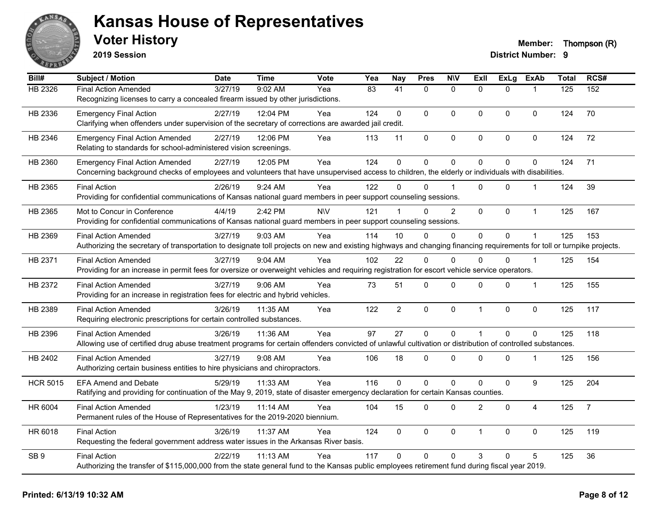

**2019 Session**

| Bill#           | Subject / Motion                                                                                                                                                       | <b>Date</b> | <b>Time</b> | <b>Vote</b> | Yea | <b>Nay</b>      | <b>Pres</b>         | <b>NIV</b>     | <b>Exll</b>    | <b>ExLg</b> | <b>ExAb</b>      | <b>Total</b> | RCS#           |
|-----------------|------------------------------------------------------------------------------------------------------------------------------------------------------------------------|-------------|-------------|-------------|-----|-----------------|---------------------|----------------|----------------|-------------|------------------|--------------|----------------|
| HB 2326         | <b>Final Action Amended</b>                                                                                                                                            | 3/27/19     | 9:02 AM     | Yea         | 83  | $\overline{41}$ | $\mathbf{0}$        | $\mathbf{0}$   | $\Omega$       | $\Omega$    | $\mathbf{1}$     | 125          | 152            |
|                 | Recognizing licenses to carry a concealed firearm issued by other jurisdictions.                                                                                       |             |             |             |     |                 |                     |                |                |             |                  |              |                |
| HB 2336         | <b>Emergency Final Action</b>                                                                                                                                          | 2/27/19     | 12:04 PM    | Yea         | 124 | $\Omega$        | $\Omega$            | $\mathbf{0}$   | $\overline{0}$ | $\Omega$    | $\mathbf 0$      | 124          | 70             |
|                 | Clarifying when offenders under supervision of the secretary of corrections are awarded jail credit.                                                                   |             |             |             |     |                 |                     |                |                |             |                  |              |                |
| HB 2346         | <b>Emergency Final Action Amended</b>                                                                                                                                  | 2/27/19     | 12:06 PM    | Yea         | 113 | 11              | $\mathsf{O}\xspace$ | $\pmb{0}$      | 0              | 0           | $\pmb{0}$        | 124          | 72             |
|                 | Relating to standards for school-administered vision screenings.                                                                                                       |             |             |             |     |                 |                     |                |                |             |                  |              |                |
| HB 2360         | <b>Emergency Final Action Amended</b>                                                                                                                                  | 2/27/19     | 12:05 PM    | Yea         | 124 | $\mathbf 0$     | 0                   | $\mathbf 0$    | $\Omega$       | 0           | $\mathbf 0$      | 124          | 71             |
|                 | Concerning background checks of employees and volunteers that have unsupervised access to children, the elderly or individuals with disabilities.                      |             |             |             |     |                 |                     |                |                |             |                  |              |                |
| HB 2365         | <b>Final Action</b>                                                                                                                                                    | 2/26/19     | 9:24 AM     | Yea         | 122 | $\Omega$        | $\Omega$            |                | $\Omega$       | $\Omega$    | $\mathbf{1}$     | 124          | 39             |
|                 | Providing for confidential communications of Kansas national guard members in peer support counseling sessions.                                                        |             |             |             |     |                 |                     |                |                |             |                  |              |                |
| HB 2365         | Mot to Concur in Conference                                                                                                                                            | 4/4/19      | 2:42 PM     | <b>NV</b>   | 121 |                 | $\Omega$            | $\overline{2}$ | 0              | 0           | $\mathbf{1}$     | 125          | 167            |
|                 | Providing for confidential communications of Kansas national guard members in peer support counseling sessions.                                                        |             |             |             |     |                 |                     |                |                |             |                  |              |                |
| HB 2369         | <b>Final Action Amended</b>                                                                                                                                            | 3/27/19     | 9:03 AM     | Yea         | 114 | 10              | $\Omega$            | 0              | $\overline{0}$ | 0           | $\mathbf 1$      | 125          | 153            |
|                 | Authorizing the secretary of transportation to designate toll projects on new and existing highways and changing financing requirements for toll or turnpike projects. |             |             |             |     |                 |                     |                |                |             |                  |              |                |
| HB 2371         | <b>Final Action Amended</b>                                                                                                                                            | 3/27/19     | 9:04 AM     | Yea         | 102 | 22              | $\Omega$            | $\Omega$       | $\Omega$       | $\Omega$    | $\mathbf{1}$     | 125          | 154            |
|                 | Providing for an increase in permit fees for oversize or overweight vehicles and requiring registration for escort vehicle service operators.                          |             |             |             |     |                 |                     |                |                |             |                  |              |                |
| HB 2372         | <b>Final Action Amended</b>                                                                                                                                            | 3/27/19     | 9:06 AM     | Yea         | 73  | 51              | $\mathsf{O}\xspace$ | $\pmb{0}$      | 0              | 0           | 1                | 125          | 155            |
|                 | Providing for an increase in registration fees for electric and hybrid vehicles.                                                                                       |             |             |             |     |                 |                     |                |                |             |                  |              |                |
| HB 2389         | <b>Final Action Amended</b>                                                                                                                                            | 3/26/19     | 11:35 AM    | Yea         | 122 | $\overline{2}$  | $\mathbf 0$         | $\mathbf 0$    | $\mathbf{1}$   | $\mathbf 0$ | $\pmb{0}$        | 125          | 117            |
|                 | Requiring electronic prescriptions for certain controlled substances.                                                                                                  |             |             |             |     |                 |                     |                |                |             |                  |              |                |
| HB 2396         | <b>Final Action Amended</b>                                                                                                                                            | 3/26/19     | 11:36 AM    | Yea         | 97  | 27              | $\mathbf 0$         | $\mathbf 0$    | $\mathbf{1}$   | $\Omega$    | $\mathbf 0$      | 125          | 118            |
|                 | Allowing use of certified drug abuse treatment programs for certain offenders convicted of unlawful cultivation or distribution of controlled substances.              |             |             |             |     |                 |                     |                |                |             |                  |              |                |
| HB 2402         | <b>Final Action Amended</b>                                                                                                                                            | 3/27/19     | 9:08 AM     | Yea         | 106 | 18              | 0                   | $\mathbf 0$    | 0              | 0           |                  | 125          | 156            |
|                 | Authorizing certain business entities to hire physicians and chiropractors.                                                                                            |             |             |             |     |                 |                     |                |                |             |                  |              |                |
| <b>HCR 5015</b> | <b>EFA Amend and Debate</b>                                                                                                                                            | 5/29/19     | 11:33 AM    | Yea         | 116 | $\Omega$        | $\mathbf 0$         | $\mathbf 0$    | 0              | 0           | $\boldsymbol{9}$ | 125          | 204            |
|                 | Ratifying and providing for continuation of the May 9, 2019, state of disaster emergency declaration for certain Kansas counties.                                      |             |             |             |     |                 |                     |                |                |             |                  |              |                |
| HR 6004         | <b>Final Action Amended</b>                                                                                                                                            | 1/23/19     | 11:14 AM    | Yea         | 104 | 15              | $\Omega$            | $\mathbf 0$    | $\overline{2}$ | $\Omega$    | $\overline{4}$   | 125          | $\overline{7}$ |
|                 | Permanent rules of the House of Representatives for the 2019-2020 biennium.                                                                                            |             |             |             |     |                 |                     |                |                |             |                  |              |                |
| HR 6018         | <b>Final Action</b>                                                                                                                                                    | 3/26/19     | 11:37 AM    | Yea         | 124 | $\mathbf 0$     | 0                   | $\mathbf 0$    | $\mathbf{1}$   | 0           | $\mathbf 0$      | 125          | 119            |
|                 | Requesting the federal government address water issues in the Arkansas River basis.                                                                                    |             |             |             |     |                 |                     |                |                |             |                  |              |                |
| SB <sub>9</sub> | <b>Final Action</b>                                                                                                                                                    | 2/22/19     | 11:13 AM    | Yea         | 117 | $\Omega$        | $\Omega$            | $\mathbf{0}$   | 3              | $\Omega$    | 5                | 125          | 36             |
|                 | Authorizing the transfer of \$115,000,000 from the state general fund to the Kansas public employees retirement fund during fiscal year 2019.                          |             |             |             |     |                 |                     |                |                |             |                  |              |                |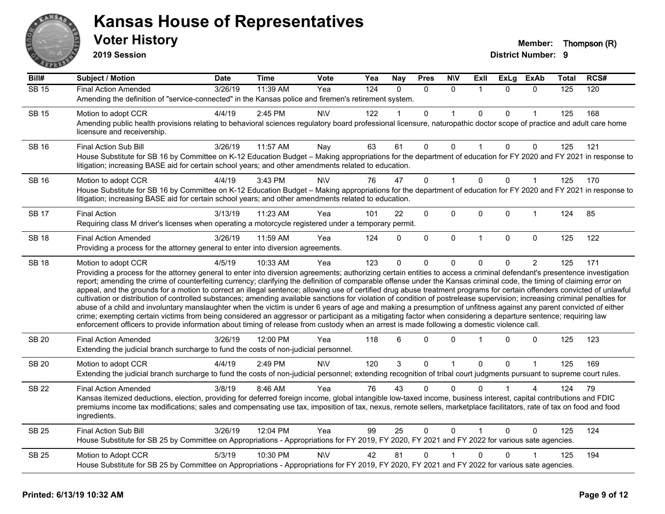

**2019 Session**

| Bill#        | <b>Subject / Motion</b>                                                                                                                                                                                                                                                                                                                                                                                                                                                                                                                                                                                                                                                                                                                                                                                                                                                                                                                                                                                                                                                                                                                                                                              | <b>Date</b> | <b>Time</b> | Vote       | Yea              | <b>Nay</b> | <b>Pres</b> | <b>N\V</b>   | ExII           | <b>ExLg</b> | ExAb           | Total | RCS# |
|--------------|------------------------------------------------------------------------------------------------------------------------------------------------------------------------------------------------------------------------------------------------------------------------------------------------------------------------------------------------------------------------------------------------------------------------------------------------------------------------------------------------------------------------------------------------------------------------------------------------------------------------------------------------------------------------------------------------------------------------------------------------------------------------------------------------------------------------------------------------------------------------------------------------------------------------------------------------------------------------------------------------------------------------------------------------------------------------------------------------------------------------------------------------------------------------------------------------------|-------------|-------------|------------|------------------|------------|-------------|--------------|----------------|-------------|----------------|-------|------|
| <b>SB 15</b> | <b>Final Action Amended</b>                                                                                                                                                                                                                                                                                                                                                                                                                                                                                                                                                                                                                                                                                                                                                                                                                                                                                                                                                                                                                                                                                                                                                                          | 3/26/19     | 11:39 AM    | Yea        | $\overline{124}$ | $\Omega$   | $\Omega$    | $\Omega$     | $\overline{1}$ | $\Omega$    | $\Omega$       | 125   | 120  |
|              | Amending the definition of "service-connected" in the Kansas police and firemen's retirement system.                                                                                                                                                                                                                                                                                                                                                                                                                                                                                                                                                                                                                                                                                                                                                                                                                                                                                                                                                                                                                                                                                                 |             |             |            |                  |            |             |              |                |             |                |       |      |
| <b>SB 15</b> | Motion to adopt CCR                                                                                                                                                                                                                                                                                                                                                                                                                                                                                                                                                                                                                                                                                                                                                                                                                                                                                                                                                                                                                                                                                                                                                                                  | 4/4/19      | $2:45$ PM   | <b>NIV</b> | 122              |            | 0           | 1            | $\mathbf{0}$   | 0           |                | 125   | 168  |
|              | Amending public health provisions relating to behavioral sciences regulatory board professional licensure, naturopathic doctor scope of practice and adult care home<br>licensure and receivership.                                                                                                                                                                                                                                                                                                                                                                                                                                                                                                                                                                                                                                                                                                                                                                                                                                                                                                                                                                                                  |             |             |            |                  |            |             |              |                |             |                |       |      |
| <b>SB 16</b> | <b>Final Action Sub Bill</b>                                                                                                                                                                                                                                                                                                                                                                                                                                                                                                                                                                                                                                                                                                                                                                                                                                                                                                                                                                                                                                                                                                                                                                         | 3/26/19     | 11:57 AM    | Nay        | 63               | 61         | 0           | $\Omega$     | $\mathbf{1}$   | 0           | $\mathbf 0$    | 125   | 121  |
|              | House Substitute for SB 16 by Committee on K-12 Education Budget - Making appropriations for the department of education for FY 2020 and FY 2021 in response to<br>litigation; increasing BASE aid for certain school years; and other amendments related to education.                                                                                                                                                                                                                                                                                                                                                                                                                                                                                                                                                                                                                                                                                                                                                                                                                                                                                                                              |             |             |            |                  |            |             |              |                |             |                |       |      |
| <b>SB 16</b> | Motion to adopt CCR                                                                                                                                                                                                                                                                                                                                                                                                                                                                                                                                                                                                                                                                                                                                                                                                                                                                                                                                                                                                                                                                                                                                                                                  | 4/4/19      | 3:43 PM     | <b>NV</b>  | 76               | 47         | 0           | 1            | $\mathbf{0}$   | 0           | 1              | 125   | 170  |
|              | House Substitute for SB 16 by Committee on K-12 Education Budget - Making appropriations for the department of education for FY 2020 and FY 2021 in response to<br>litigation; increasing BASE aid for certain school years; and other amendments related to education.                                                                                                                                                                                                                                                                                                                                                                                                                                                                                                                                                                                                                                                                                                                                                                                                                                                                                                                              |             |             |            |                  |            |             |              |                |             |                |       |      |
| <b>SB 17</b> | <b>Final Action</b>                                                                                                                                                                                                                                                                                                                                                                                                                                                                                                                                                                                                                                                                                                                                                                                                                                                                                                                                                                                                                                                                                                                                                                                  | 3/13/19     | 11:23 AM    | Yea        | 101              | 22         | 0           | 0            | $\mathbf 0$    | 0           | $\mathbf{1}$   | 124   | 85   |
|              | Requiring class M driver's licenses when operating a motorcycle registered under a temporary permit.                                                                                                                                                                                                                                                                                                                                                                                                                                                                                                                                                                                                                                                                                                                                                                                                                                                                                                                                                                                                                                                                                                 |             |             |            |                  |            |             |              |                |             |                |       |      |
| <b>SB 18</b> | <b>Final Action Amended</b>                                                                                                                                                                                                                                                                                                                                                                                                                                                                                                                                                                                                                                                                                                                                                                                                                                                                                                                                                                                                                                                                                                                                                                          | 3/26/19     | 11:59 AM    | Yea        | 124              | $\Omega$   | $\Omega$    | $\mathbf 0$  | $\overline{1}$ | $\Omega$    | 0              | 125   | 122  |
|              | Providing a process for the attorney general to enter into diversion agreements.                                                                                                                                                                                                                                                                                                                                                                                                                                                                                                                                                                                                                                                                                                                                                                                                                                                                                                                                                                                                                                                                                                                     |             |             |            |                  |            |             |              |                |             |                |       |      |
| <b>SB 18</b> | Motion to adopt CCR                                                                                                                                                                                                                                                                                                                                                                                                                                                                                                                                                                                                                                                                                                                                                                                                                                                                                                                                                                                                                                                                                                                                                                                  | 4/5/19      | 10:33 AM    | Yea        | 123              | $\Omega$   | 0           | $\Omega$     | $\Omega$       | 0           | $\overline{c}$ | 125   | 171  |
|              | Providing a process for the attorney general to enter into diversion agreements; authorizing certain entities to access a criminal defendant's presentence investigation<br>report; amending the crime of counterfeiting currency; clarifying the definition of comparable offense under the Kansas criminal code, the timing of claiming error on<br>appeal, and the grounds for a motion to correct an illegal sentence; allowing use of certified drug abuse treatment programs for certain offenders convicted of unlawful<br>cultivation or distribution of controlled substances; amending available sanctions for violation of condition of postrelease supervision; increasing criminal penalties for<br>abuse of a child and involuntary manslaughter when the victim is under 6 years of age and making a presumption of unfitness against any parent convicted of either<br>crime; exempting certain victims from being considered an aggressor or participant as a mitigating factor when considering a departure sentence; requiring law<br>enforcement officers to provide information about timing of release from custody when an arrest is made following a domestic violence call. |             |             |            |                  |            |             |              |                |             |                |       |      |
| <b>SB 20</b> | <b>Final Action Amended</b><br>Extending the judicial branch surcharge to fund the costs of non-judicial personnel.                                                                                                                                                                                                                                                                                                                                                                                                                                                                                                                                                                                                                                                                                                                                                                                                                                                                                                                                                                                                                                                                                  | 3/26/19     | 12:00 PM    | Yea        | 118              | 6          | 0           | $\Omega$     |                | $\Omega$    | $\mathbf 0$    | 125   | 123  |
| <b>SB 20</b> | Motion to adopt CCR                                                                                                                                                                                                                                                                                                                                                                                                                                                                                                                                                                                                                                                                                                                                                                                                                                                                                                                                                                                                                                                                                                                                                                                  | 4/4/19      | 2:49 PM     | <b>NV</b>  | 120              | 3          | 0           | $\mathbf{1}$ | $\mathbf{0}$   | 0           | $\mathbf{1}$   | 125   | 169  |
|              | Extending the judicial branch surcharge to fund the costs of non-judicial personnel; extending recognition of tribal court judgments pursuant to supreme court rules.                                                                                                                                                                                                                                                                                                                                                                                                                                                                                                                                                                                                                                                                                                                                                                                                                                                                                                                                                                                                                                |             |             |            |                  |            |             |              |                |             |                |       |      |
| <b>SB 22</b> | <b>Final Action Amended</b>                                                                                                                                                                                                                                                                                                                                                                                                                                                                                                                                                                                                                                                                                                                                                                                                                                                                                                                                                                                                                                                                                                                                                                          | 3/8/19      | 8:46 AM     | Yea        | 76               | 43         | $\Omega$    | $\Omega$     | <sup>0</sup>   |             | 4              | 124   | 79   |
|              | Kansas itemized deductions, election, providing for deferred foreign income, global intangible low-taxed income, business interest, capital contributions and FDIC<br>premiums income tax modifications; sales and compensating use tax, imposition of tax, nexus, remote sellers, marketplace facilitators, rate of tax on food and food<br>ingredients.                                                                                                                                                                                                                                                                                                                                                                                                                                                                                                                                                                                                                                                                                                                                                                                                                                            |             |             |            |                  |            |             |              |                |             |                |       |      |
| <b>SB 25</b> | <b>Final Action Sub Bill</b>                                                                                                                                                                                                                                                                                                                                                                                                                                                                                                                                                                                                                                                                                                                                                                                                                                                                                                                                                                                                                                                                                                                                                                         | 3/26/19     | 12:04 PM    | Yea        | 99               | 25         | $\Omega$    | $\mathbf{0}$ | $\overline{1}$ | $\Omega$    | $\Omega$       | 125   | 124  |
|              | House Substitute for SB 25 by Committee on Appropriations - Appropriations for FY 2019, FY 2020, FY 2021 and FY 2022 for various sate agencies.                                                                                                                                                                                                                                                                                                                                                                                                                                                                                                                                                                                                                                                                                                                                                                                                                                                                                                                                                                                                                                                      |             |             |            |                  |            |             |              |                |             |                |       |      |
| <b>SB 25</b> | Motion to Adopt CCR                                                                                                                                                                                                                                                                                                                                                                                                                                                                                                                                                                                                                                                                                                                                                                                                                                                                                                                                                                                                                                                                                                                                                                                  | 5/3/19      | 10:30 PM    | <b>NV</b>  | 42               | 81         | 0           |              | $\mathbf{0}$   | 0           |                | 125   | 194  |
|              | House Substitute for SB 25 by Committee on Appropriations - Appropriations for FY 2019, FY 2020, FY 2021 and FY 2022 for various sate agencies.                                                                                                                                                                                                                                                                                                                                                                                                                                                                                                                                                                                                                                                                                                                                                                                                                                                                                                                                                                                                                                                      |             |             |            |                  |            |             |              |                |             |                |       |      |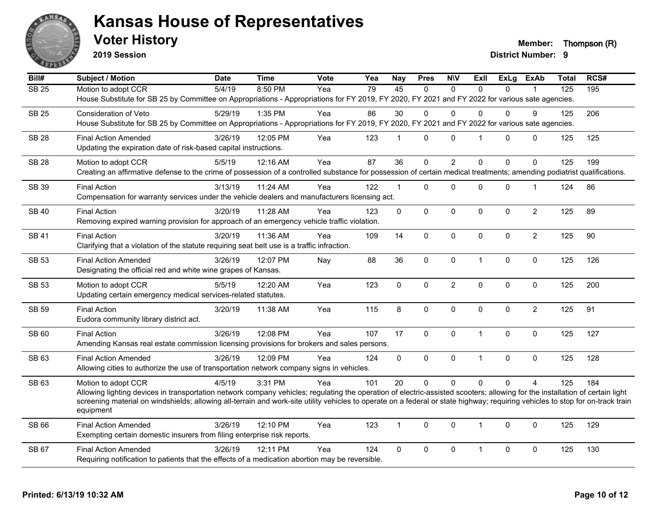

**2019 Session**

**Voter History Member: Thompson (R)** 

| Bill#        | <b>Subject / Motion</b>                                                                                                                                                                     | <b>Date</b> | <b>Time</b> | <b>Vote</b> | Yea             | Nay             | <b>Pres</b> | <b>N\V</b>       | ExII           |             | ExLg ExAb      | <b>Total</b> | RCS# |
|--------------|---------------------------------------------------------------------------------------------------------------------------------------------------------------------------------------------|-------------|-------------|-------------|-----------------|-----------------|-------------|------------------|----------------|-------------|----------------|--------------|------|
| <b>SB 25</b> | Motion to adopt CCR                                                                                                                                                                         | 5/4/19      | 8:50 PM     | Yea         | $\overline{79}$ | $\overline{45}$ | $\Omega$    | $\Omega$         | $\Omega$       | $\Omega$    |                | 125          | 195  |
|              | House Substitute for SB 25 by Committee on Appropriations - Appropriations for FY 2019, FY 2020, FY 2021 and FY 2022 for various sate agencies.                                             |             |             |             |                 |                 |             |                  |                |             |                |              |      |
| <b>SB 25</b> | Consideration of Veto                                                                                                                                                                       | 5/29/19     | 1:35 PM     | Yea         | 86              | 30              | $\Omega$    | $\Omega$         | 0              | 0           | 9              | 125          | 206  |
|              | House Substitute for SB 25 by Committee on Appropriations - Appropriations for FY 2019, FY 2020, FY 2021 and FY 2022 for various sate agencies.                                             |             |             |             |                 |                 |             |                  |                |             |                |              |      |
| <b>SB 28</b> | <b>Final Action Amended</b>                                                                                                                                                                 | 3/26/19     | 12:05 PM    | Yea         | 123             | $\mathbf 1$     | $\mathbf 0$ | 0                | $\mathbf 1$    | 0           | 0              | 125          | 125  |
|              | Updating the expiration date of risk-based capital instructions.                                                                                                                            |             |             |             |                 |                 |             |                  |                |             |                |              |      |
| <b>SB 28</b> | Motion to adopt CCR                                                                                                                                                                         | 5/5/19      | 12:16 AM    | Yea         | 87              | 36              | $\mathbf 0$ | $\overline{c}$   | $\mathbf 0$    | $\mathbf 0$ | $\mathbf 0$    | 125          | 199  |
|              | Creating an affirmative defense to the crime of possession of a controlled substance for possession of certain medical treatments; amending podiatrist qualifications.                      |             |             |             |                 |                 |             |                  |                |             |                |              |      |
| SB 39        | <b>Final Action</b>                                                                                                                                                                         | 3/13/19     | 11:24 AM    | Yea         | 122             | $\mathbf 1$     | 0           | $\mathbf 0$      | 0              | 0           | 1              | 124          | 86   |
|              | Compensation for warranty services under the vehicle dealers and manufacturers licensing act.                                                                                               |             |             |             |                 |                 |             |                  |                |             |                |              |      |
| <b>SB 40</b> | <b>Final Action</b>                                                                                                                                                                         | 3/20/19     | 11:28 AM    | Yea         | 123             | $\mathbf 0$     | $\pmb{0}$   | $\pmb{0}$        | $\mathbf 0$    | 0           | $\overline{c}$ | 125          | 89   |
|              | Removing expired warning provision for approach of an emergency vehicle traffic violation.                                                                                                  |             |             |             |                 |                 |             |                  |                |             |                |              |      |
| <b>SB41</b>  | <b>Final Action</b>                                                                                                                                                                         | 3/20/19     | 11:36 AM    | Yea         | 109             | 14              | $\mathbf 0$ | $\pmb{0}$        | $\Omega$       | 0           | $\overline{2}$ | 125          | 90   |
|              | Clarifying that a violation of the statute requiring seat belt use is a traffic infraction.                                                                                                 |             |             |             |                 |                 |             |                  |                |             |                |              |      |
| <b>SB 53</b> | <b>Final Action Amended</b>                                                                                                                                                                 | 3/26/19     | 12:07 PM    | Nay         | 88              | 36              | 0           | $\pmb{0}$        | $\mathbf{1}$   | 0           | $\mathbf 0$    | 125          | 126  |
|              | Designating the official red and white wine grapes of Kansas.                                                                                                                               |             |             |             |                 |                 |             |                  |                |             |                |              |      |
| <b>SB 53</b> | Motion to adopt CCR                                                                                                                                                                         | 5/5/19      | 12:20 AM    | Yea         | 123             | $\mathbf 0$     | 0           | $\boldsymbol{2}$ | $\mathbf 0$    | 0           | $\pmb{0}$      | 125          | 200  |
|              | Updating certain emergency medical services-related statutes.                                                                                                                               |             |             |             |                 |                 |             |                  |                |             |                |              |      |
| <b>SB 59</b> | <b>Final Action</b>                                                                                                                                                                         | 3/20/19     | 11:38 AM    | Yea         | 115             | 8               | $\mathbf 0$ | $\pmb{0}$        | $\Omega$       | $\Omega$    | $\overline{2}$ | 125          | 91   |
|              | Eudora community library district act.                                                                                                                                                      |             |             |             |                 |                 |             |                  |                |             |                |              |      |
| SB 60        | <b>Final Action</b>                                                                                                                                                                         | 3/26/19     | 12:08 PM    | Yea         | 107             | 17              | 0           | $\mathbf 0$      | $\mathbf{1}$   | $\pmb{0}$   | $\pmb{0}$      | 125          | 127  |
|              | Amending Kansas real estate commission licensing provisions for brokers and sales persons.                                                                                                  |             |             |             |                 |                 |             |                  |                |             |                |              |      |
| SB 63        | <b>Final Action Amended</b>                                                                                                                                                                 | 3/26/19     | 12:09 PM    | Yea         | 124             | $\mathbf 0$     | $\mathbf 0$ | $\pmb{0}$        | $\overline{1}$ | 0           | $\pmb{0}$      | 125          | 128  |
|              | Allowing cities to authorize the use of transportation network company signs in vehicles.                                                                                                   |             |             |             |                 |                 |             |                  |                |             |                |              |      |
| SB 63        | Motion to adopt CCR                                                                                                                                                                         | 4/5/19      | 3:31 PM     | Yea         | 101             | 20              | $\Omega$    | $\mathbf 0$      | $\Omega$       | $\Omega$    | $\Delta$       | 125          | 184  |
|              | Allowing lighting devices in transportation network company vehicles; regulating the operation of electric-assisted scooters; allowing for the installation of certain light                |             |             |             |                 |                 |             |                  |                |             |                |              |      |
|              | screening material on windshields; allowing all-terrain and work-site utility vehicles to operate on a federal or state highway; requiring vehicles to stop for on-track train<br>equipment |             |             |             |                 |                 |             |                  |                |             |                |              |      |
| SB 66        | <b>Final Action Amended</b>                                                                                                                                                                 | 3/26/19     | 12:10 PM    | Yea         | 123             | $\mathbf{1}$    | $\mathbf 0$ | $\mathbf 0$      | $\mathbf{1}$   | $\mathbf 0$ | $\mathbf 0$    | 125          | 129  |
|              | Exempting certain domestic insurers from filing enterprise risk reports.                                                                                                                    |             |             |             |                 |                 |             |                  |                |             |                |              |      |
| SB 67        | <b>Final Action Amended</b>                                                                                                                                                                 | 3/26/19     | 12:11 PM    | Yea         | 124             | $\mathbf 0$     |             | $\pmb{0}$        | $\mathbf{1}$   |             | $\mathbf 0$    | 125          | 130  |
|              | Requiring notification to patients that the effects of a medication abortion may be reversible.                                                                                             |             |             |             |                 |                 | 0           |                  |                | 0           |                |              |      |
|              |                                                                                                                                                                                             |             |             |             |                 |                 |             |                  |                |             |                |              |      |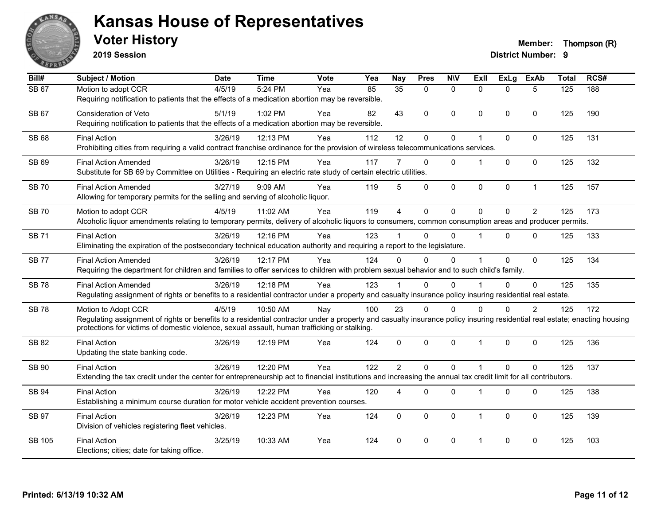

**2019 Session**

| Bill#         | <b>Subject / Motion</b>                                                                                                                                                                                                                                                                          | <b>Date</b> | <b>Time</b> | Vote | Yea | <b>Nay</b>      | <b>Pres</b>  | <b>NIV</b>   | ExII                 | <b>ExLg</b> | <b>ExAb</b>    | <b>Total</b> | RCS# |
|---------------|--------------------------------------------------------------------------------------------------------------------------------------------------------------------------------------------------------------------------------------------------------------------------------------------------|-------------|-------------|------|-----|-----------------|--------------|--------------|----------------------|-------------|----------------|--------------|------|
| <b>SB 67</b>  | Motion to adopt CCR<br>Requiring notification to patients that the effects of a medication abortion may be reversible.                                                                                                                                                                           | 4/5/19      | 5:24 PM     | Yea  | 85  | $\overline{35}$ | $\mathbf{0}$ | $\Omega$     | $\Omega$             | $\Omega$    | 5              | 125          | 188  |
| <b>SB 67</b>  | <b>Consideration of Veto</b><br>Requiring notification to patients that the effects of a medication abortion may be reversible.                                                                                                                                                                  | 5/1/19      | 1:02 PM     | Yea  | 82  | 43              | $\mathbf 0$  | $\mathbf{0}$ | $\Omega$             | $\Omega$    | $\mathbf{0}$   | 125          | 190  |
| <b>SB 68</b>  | <b>Final Action</b><br>Prohibiting cities from requiring a valid contract franchise ordinance for the provision of wireless telecommunications services.                                                                                                                                         | 3/26/19     | 12:13 PM    | Yea  | 112 | 12              | $\mathbf 0$  | $\pmb{0}$    | $\mathbf 1$          | 0           | $\mathbf 0$    | 125          | 131  |
| SB 69         | <b>Final Action Amended</b><br>Substitute for SB 69 by Committee on Utilities - Requiring an electric rate study of certain electric utilities.                                                                                                                                                  | 3/26/19     | 12:15 PM    | Yea  | 117 |                 | $\Omega$     | $\Omega$     |                      | $\Omega$    | $\Omega$       | 125          | 132  |
| <b>SB 70</b>  | <b>Final Action Amended</b><br>Allowing for temporary permits for the selling and serving of alcoholic liquor.                                                                                                                                                                                   | 3/27/19     | 9:09 AM     | Yea  | 119 | 5               | $\mathbf 0$  | $\mathsf 0$  | 0                    | $\pmb{0}$   | $\mathbf{1}$   | 125          | 157  |
| <b>SB 70</b>  | Motion to adopt CCR<br>Alcoholic liquor amendments relating to temporary permits, delivery of alcoholic liquors to consumers, common consumption areas and producer permits.                                                                                                                     | 4/5/19      | 11:02 AM    | Yea  | 119 | $\overline{4}$  | $\mathbf 0$  | $\mathbf 0$  | $\Omega$             | $\mathbf 0$ | $\overline{2}$ | 125          | 173  |
| <b>SB71</b>   | <b>Final Action</b><br>Eliminating the expiration of the postsecondary technical education authority and requiring a report to the legislature.                                                                                                                                                  | 3/26/19     | 12:16 PM    | Yea  | 123 |                 | $\mathbf{0}$ | $\Omega$     | 1                    | 0           | $\Omega$       | 125          | 133  |
| <b>SB77</b>   | <b>Final Action Amended</b><br>Requiring the department for children and families to offer services to children with problem sexual behavior and to such child's family.                                                                                                                         | 3/26/19     | 12:17 PM    | Yea  | 124 | 0               | $\mathbf{0}$ | $\Omega$     |                      | $\Omega$    | $\mathbf 0$    | 125          | 134  |
| <b>SB78</b>   | <b>Final Action Amended</b><br>Regulating assignment of rights or benefits to a residential contractor under a property and casualty insurance policy insuring residential real estate.                                                                                                          | 3/26/19     | 12:18 PM    | Yea  | 123 |                 | $\mathbf 0$  | $\Omega$     |                      | $\Omega$    | $\mathbf 0$    | 125          | 135  |
| <b>SB78</b>   | Motion to Adopt CCR<br>Regulating assignment of rights or benefits to a residential contractor under a property and casualty insurance policy insuring residential real estate; enacting housing<br>protections for victims of domestic violence, sexual assault, human trafficking or stalking. | 4/5/19      | 10:50 AM    | Nay  | 100 | 23              | $\mathbf 0$  | $\Omega$     | $\Omega$             | $\Omega$    | $\overline{2}$ | 125          | 172  |
| <b>SB 82</b>  | <b>Final Action</b><br>Updating the state banking code.                                                                                                                                                                                                                                          | 3/26/19     | 12:19 PM    | Yea  | 124 | $\Omega$        | $\mathbf{0}$ | $\mathbf{0}$ | $\mathbf{1}$         | $\Omega$    | $\mathbf{0}$   | 125          | 136  |
| <b>SB 90</b>  | <b>Final Action</b><br>Extending the tax credit under the center for entrepreneurship act to financial institutions and increasing the annual tax credit limit for all contributors.                                                                                                             | 3/26/19     | 12:20 PM    | Yea  | 122 | $\overline{2}$  | $\Omega$     | $\Omega$     | $\overline{1}$       | $\Omega$    | $\Omega$       | 125          | 137  |
| <b>SB 94</b>  | <b>Final Action</b><br>Establishing a minimum course duration for motor vehicle accident prevention courses.                                                                                                                                                                                     | 3/26/19     | 12:22 PM    | Yea  | 120 | 4               | $\mathbf{0}$ | $\Omega$     | $\mathbf 1$          | $\Omega$    | $\mathbf{0}$   | 125          | 138  |
| <b>SB 97</b>  | <b>Final Action</b><br>Division of vehicles registering fleet vehicles.                                                                                                                                                                                                                          | 3/26/19     | 12:23 PM    | Yea  | 124 | $\mathbf{0}$    | $\mathbf{0}$ | $\mathbf{0}$ | $\mathbf 1$          | $\Omega$    | $\mathbf{0}$   | 125          | 139  |
| <b>SB 105</b> | <b>Final Action</b><br>Elections; cities; date for taking office.                                                                                                                                                                                                                                | 3/25/19     | 10:33 AM    | Yea  | 124 | 0               | $\mathbf{0}$ | $\Omega$     | $\blacktriangleleft$ | $\Omega$    | $\Omega$       | 125          | 103  |